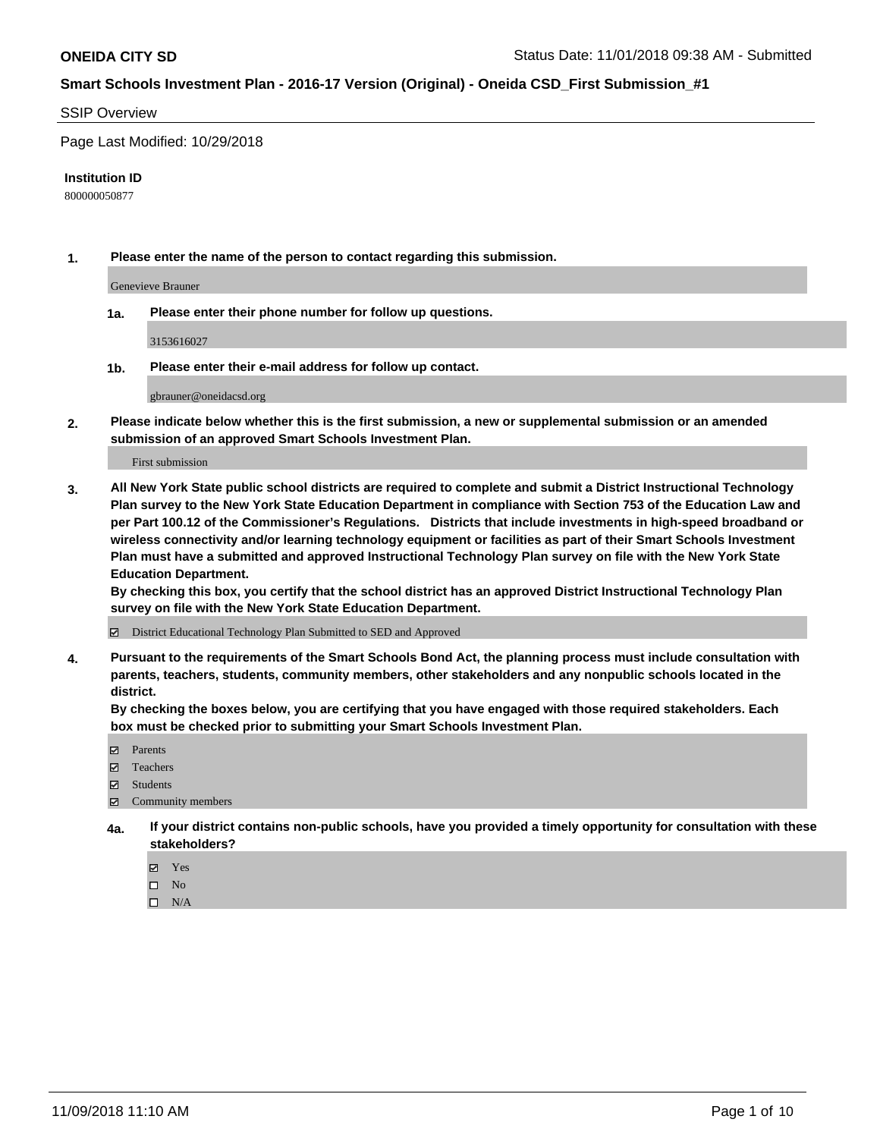#### SSIP Overview

Page Last Modified: 10/29/2018

#### **Institution ID**

800000050877

**1. Please enter the name of the person to contact regarding this submission.**

Genevieve Brauner

**1a. Please enter their phone number for follow up questions.**

3153616027

**1b. Please enter their e-mail address for follow up contact.**

gbrauner@oneidacsd.org

**2. Please indicate below whether this is the first submission, a new or supplemental submission or an amended submission of an approved Smart Schools Investment Plan.**

First submission

**3. All New York State public school districts are required to complete and submit a District Instructional Technology Plan survey to the New York State Education Department in compliance with Section 753 of the Education Law and per Part 100.12 of the Commissioner's Regulations. Districts that include investments in high-speed broadband or wireless connectivity and/or learning technology equipment or facilities as part of their Smart Schools Investment Plan must have a submitted and approved Instructional Technology Plan survey on file with the New York State Education Department.** 

**By checking this box, you certify that the school district has an approved District Instructional Technology Plan survey on file with the New York State Education Department.**

District Educational Technology Plan Submitted to SED and Approved

**4. Pursuant to the requirements of the Smart Schools Bond Act, the planning process must include consultation with parents, teachers, students, community members, other stakeholders and any nonpublic schools located in the district.** 

**By checking the boxes below, you are certifying that you have engaged with those required stakeholders. Each box must be checked prior to submitting your Smart Schools Investment Plan.**

- **□** Parents
- Teachers
- Students
- $\boxtimes$  Community members
- **4a. If your district contains non-public schools, have you provided a timely opportunity for consultation with these stakeholders?**
	- Yes
	- $\qquad \qquad$  No
	- $\square$  N/A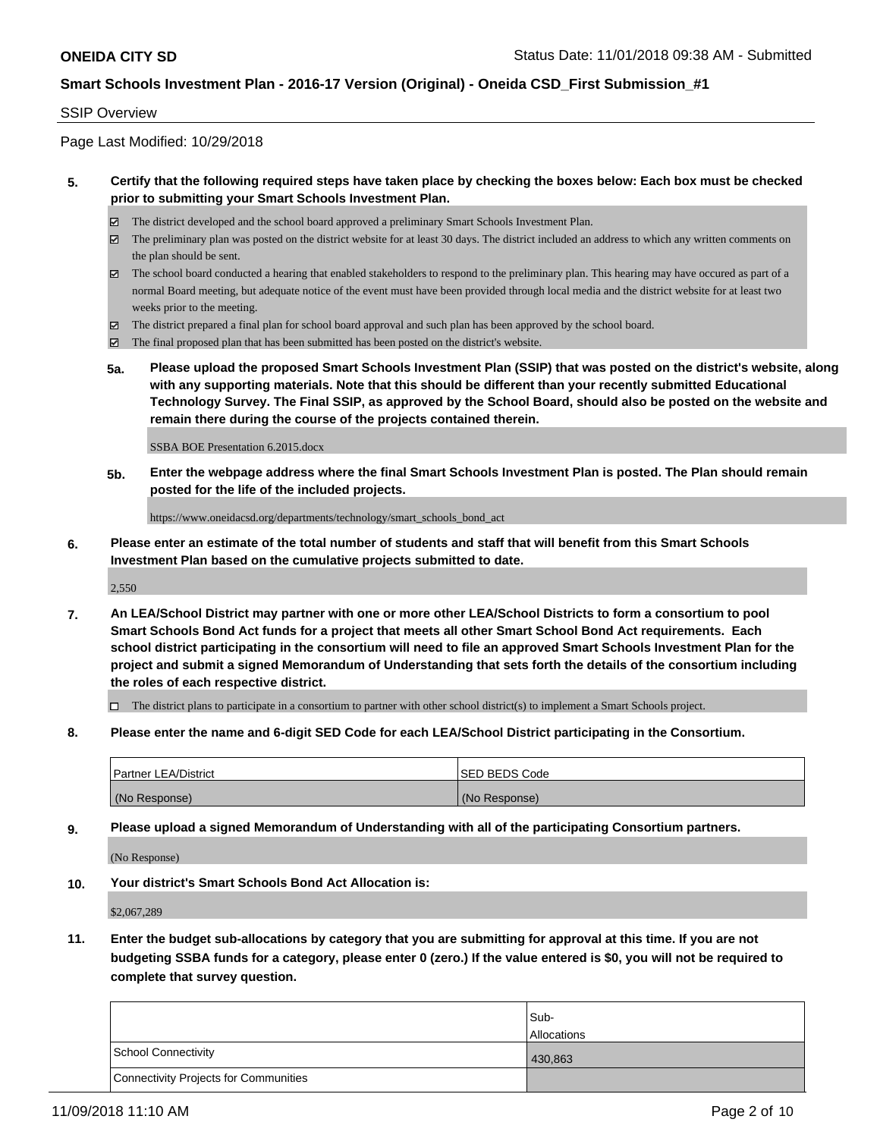#### SSIP Overview

Page Last Modified: 10/29/2018

#### **5. Certify that the following required steps have taken place by checking the boxes below: Each box must be checked prior to submitting your Smart Schools Investment Plan.**

- The district developed and the school board approved a preliminary Smart Schools Investment Plan.
- $\boxtimes$  The preliminary plan was posted on the district website for at least 30 days. The district included an address to which any written comments on the plan should be sent.
- $\boxtimes$  The school board conducted a hearing that enabled stakeholders to respond to the preliminary plan. This hearing may have occured as part of a normal Board meeting, but adequate notice of the event must have been provided through local media and the district website for at least two weeks prior to the meeting.
- The district prepared a final plan for school board approval and such plan has been approved by the school board.
- $\boxtimes$  The final proposed plan that has been submitted has been posted on the district's website.
- **5a. Please upload the proposed Smart Schools Investment Plan (SSIP) that was posted on the district's website, along with any supporting materials. Note that this should be different than your recently submitted Educational Technology Survey. The Final SSIP, as approved by the School Board, should also be posted on the website and remain there during the course of the projects contained therein.**

SSBA BOE Presentation 6.2015.docx

**5b. Enter the webpage address where the final Smart Schools Investment Plan is posted. The Plan should remain posted for the life of the included projects.**

https://www.oneidacsd.org/departments/technology/smart\_schools\_bond\_act

**6. Please enter an estimate of the total number of students and staff that will benefit from this Smart Schools Investment Plan based on the cumulative projects submitted to date.**

2,550

**7. An LEA/School District may partner with one or more other LEA/School Districts to form a consortium to pool Smart Schools Bond Act funds for a project that meets all other Smart School Bond Act requirements. Each school district participating in the consortium will need to file an approved Smart Schools Investment Plan for the project and submit a signed Memorandum of Understanding that sets forth the details of the consortium including the roles of each respective district.**

 $\Box$  The district plans to participate in a consortium to partner with other school district(s) to implement a Smart Schools project.

**8. Please enter the name and 6-digit SED Code for each LEA/School District participating in the Consortium.**

| <b>Partner LEA/District</b> | <b>ISED BEDS Code</b> |
|-----------------------------|-----------------------|
| (No Response)               | (No Response)         |

**9. Please upload a signed Memorandum of Understanding with all of the participating Consortium partners.**

(No Response)

**10. Your district's Smart Schools Bond Act Allocation is:**

\$2,067,289

**11. Enter the budget sub-allocations by category that you are submitting for approval at this time. If you are not budgeting SSBA funds for a category, please enter 0 (zero.) If the value entered is \$0, you will not be required to complete that survey question.**

|                                              | Sub-               |
|----------------------------------------------|--------------------|
|                                              | <b>Allocations</b> |
| <b>School Connectivity</b>                   | 430,863            |
| <b>Connectivity Projects for Communities</b> |                    |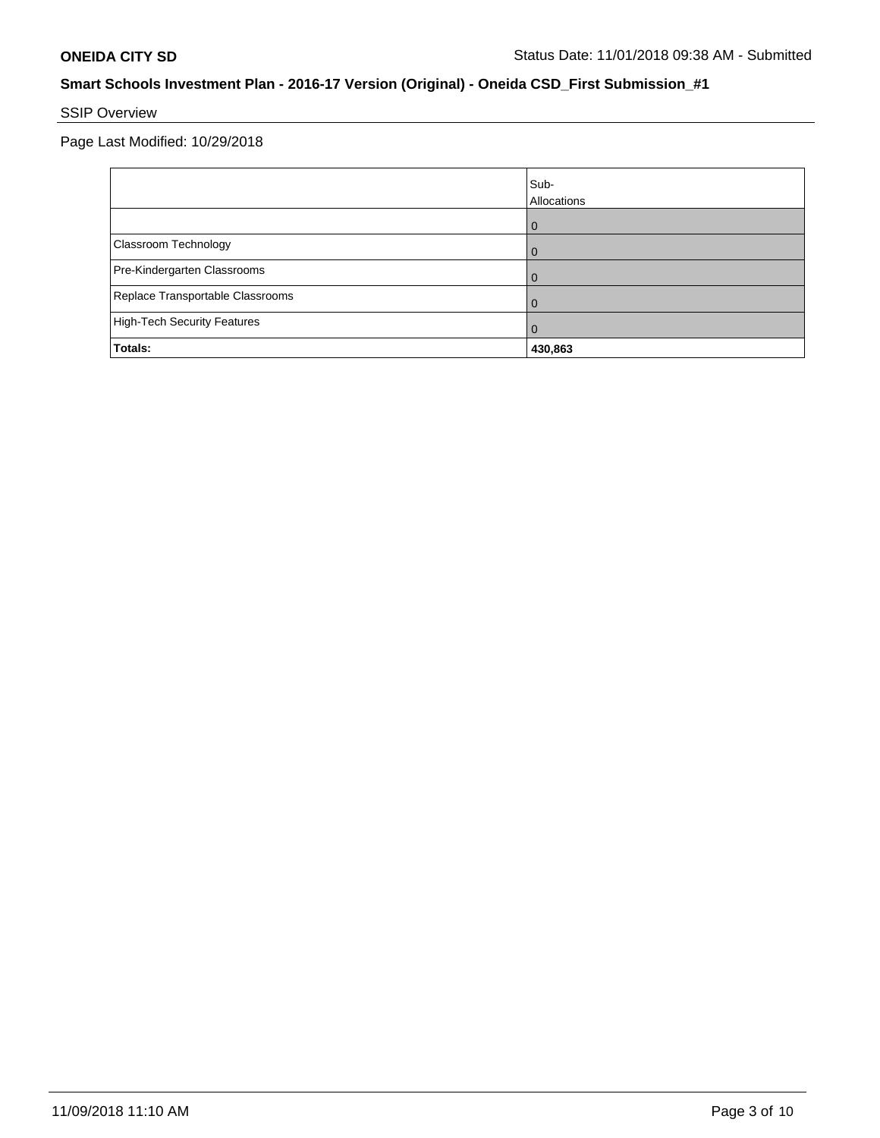# SSIP Overview

Page Last Modified: 10/29/2018

|                                    | Sub-<br>Allocations |
|------------------------------------|---------------------|
|                                    |                     |
| Classroom Technology               |                     |
| Pre-Kindergarten Classrooms        |                     |
| Replace Transportable Classrooms   |                     |
| <b>High-Tech Security Features</b> | Û                   |
| Totals:                            | 430,863             |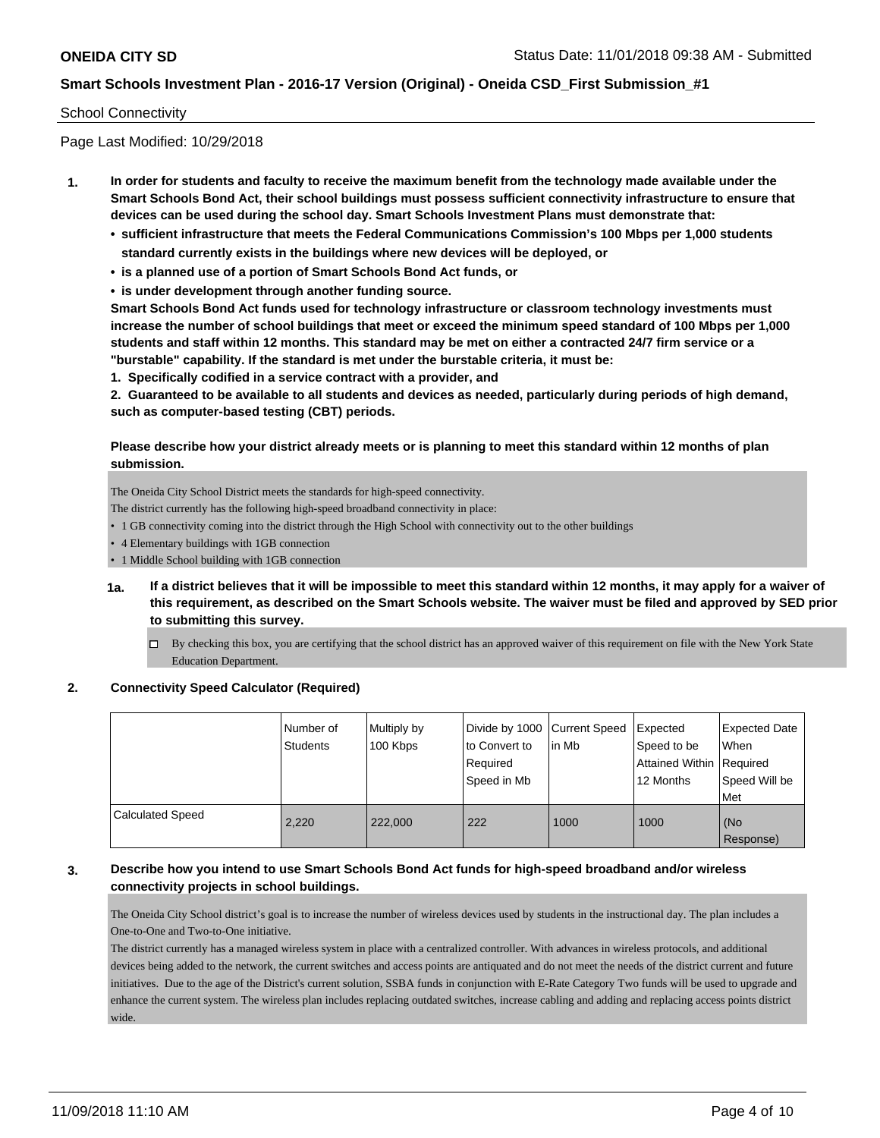#### School Connectivity

Page Last Modified: 10/29/2018

- **1. In order for students and faculty to receive the maximum benefit from the technology made available under the Smart Schools Bond Act, their school buildings must possess sufficient connectivity infrastructure to ensure that devices can be used during the school day. Smart Schools Investment Plans must demonstrate that:**
	- **• sufficient infrastructure that meets the Federal Communications Commission's 100 Mbps per 1,000 students standard currently exists in the buildings where new devices will be deployed, or**
	- **• is a planned use of a portion of Smart Schools Bond Act funds, or**
	- **• is under development through another funding source.**

**Smart Schools Bond Act funds used for technology infrastructure or classroom technology investments must increase the number of school buildings that meet or exceed the minimum speed standard of 100 Mbps per 1,000 students and staff within 12 months. This standard may be met on either a contracted 24/7 firm service or a "burstable" capability. If the standard is met under the burstable criteria, it must be:**

**1. Specifically codified in a service contract with a provider, and**

**2. Guaranteed to be available to all students and devices as needed, particularly during periods of high demand, such as computer-based testing (CBT) periods.**

#### **Please describe how your district already meets or is planning to meet this standard within 12 months of plan submission.**

The Oneida City School District meets the standards for high-speed connectivity.

The district currently has the following high-speed broadband connectivity in place:

- 1 GB connectivity coming into the district through the High School with connectivity out to the other buildings
- 4 Elementary buildings with 1GB connection
- 1 Middle School building with 1GB connection
- **1a. If a district believes that it will be impossible to meet this standard within 12 months, it may apply for a waiver of this requirement, as described on the Smart Schools website. The waiver must be filed and approved by SED prior to submitting this survey.**
	- □ By checking this box, you are certifying that the school district has an approved waiver of this requirement on file with the New York State Education Department.

#### **2. Connectivity Speed Calculator (Required)**

|                         | Number of<br><b>Students</b> | Multiply by<br>100 Kbps | Divide by 1000 Current Speed<br>to Convert to<br>Required<br>Speed in Mb | l in Mb | Expected<br>Speed to be<br>Attained Within Required<br>12 Months | Expected Date<br>When<br>Speed Will be<br>Met |
|-------------------------|------------------------------|-------------------------|--------------------------------------------------------------------------|---------|------------------------------------------------------------------|-----------------------------------------------|
| <b>Calculated Speed</b> | 2,220                        | 222,000                 | 222                                                                      | 1000    | 1000                                                             | (No<br>Response)                              |

## **3. Describe how you intend to use Smart Schools Bond Act funds for high-speed broadband and/or wireless connectivity projects in school buildings.**

The Oneida City School district's goal is to increase the number of wireless devices used by students in the instructional day. The plan includes a One-to-One and Two-to-One initiative.

The district currently has a managed wireless system in place with a centralized controller. With advances in wireless protocols, and additional devices being added to the network, the current switches and access points are antiquated and do not meet the needs of the district current and future initiatives. Due to the age of the District's current solution, SSBA funds in conjunction with E-Rate Category Two funds will be used to upgrade and enhance the current system. The wireless plan includes replacing outdated switches, increase cabling and adding and replacing access points district wide.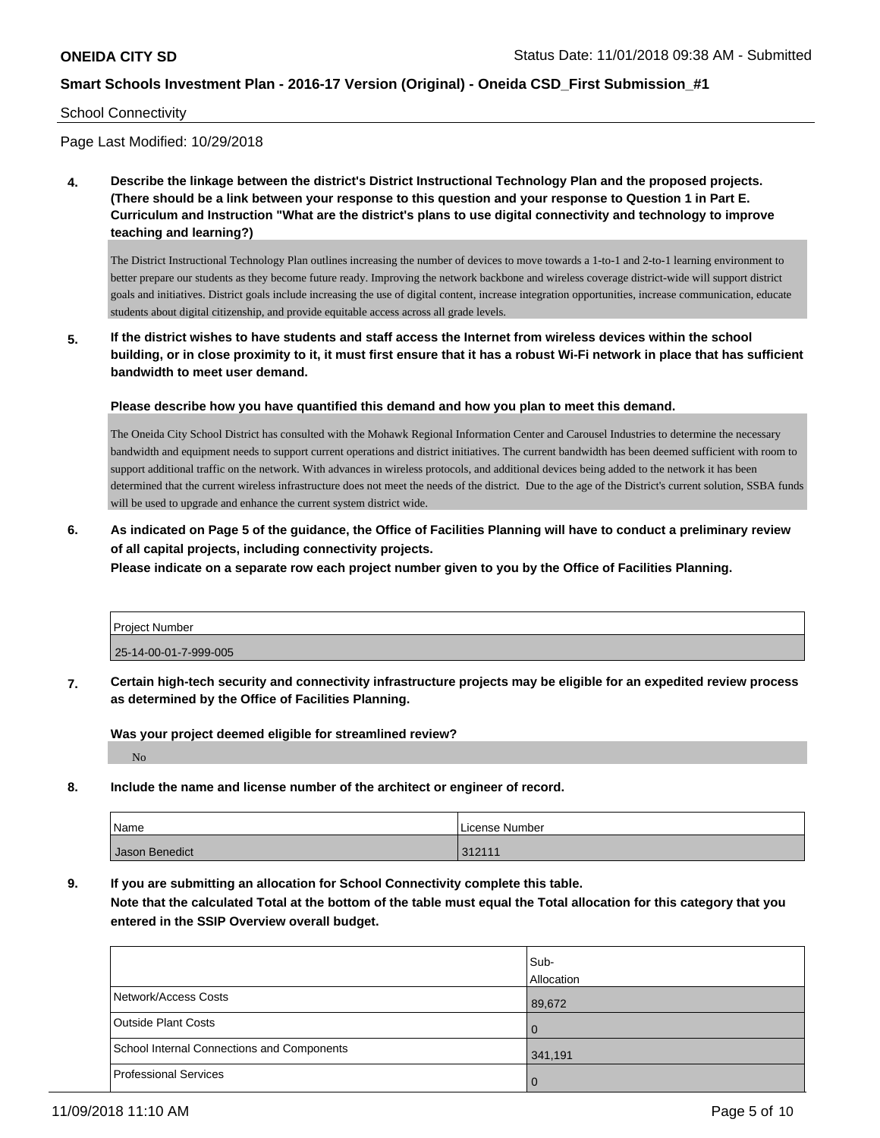#### School Connectivity

Page Last Modified: 10/29/2018

**4. Describe the linkage between the district's District Instructional Technology Plan and the proposed projects. (There should be a link between your response to this question and your response to Question 1 in Part E. Curriculum and Instruction "What are the district's plans to use digital connectivity and technology to improve teaching and learning?)**

The District Instructional Technology Plan outlines increasing the number of devices to move towards a 1-to-1 and 2-to-1 learning environment to better prepare our students as they become future ready. Improving the network backbone and wireless coverage district-wide will support district goals and initiatives. District goals include increasing the use of digital content, increase integration opportunities, increase communication, educate students about digital citizenship, and provide equitable access across all grade levels.

**5. If the district wishes to have students and staff access the Internet from wireless devices within the school building, or in close proximity to it, it must first ensure that it has a robust Wi-Fi network in place that has sufficient bandwidth to meet user demand.**

**Please describe how you have quantified this demand and how you plan to meet this demand.**

The Oneida City School District has consulted with the Mohawk Regional Information Center and Carousel Industries to determine the necessary bandwidth and equipment needs to support current operations and district initiatives. The current bandwidth has been deemed sufficient with room to support additional traffic on the network. With advances in wireless protocols, and additional devices being added to the network it has been determined that the current wireless infrastructure does not meet the needs of the district. Due to the age of the District's current solution, SSBA funds will be used to upgrade and enhance the current system district wide.

**6. As indicated on Page 5 of the guidance, the Office of Facilities Planning will have to conduct a preliminary review of all capital projects, including connectivity projects.**

**Please indicate on a separate row each project number given to you by the Office of Facilities Planning.**

| Project Number        |  |
|-----------------------|--|
| 25-14-00-01-7-999-005 |  |

**7. Certain high-tech security and connectivity infrastructure projects may be eligible for an expedited review process as determined by the Office of Facilities Planning.**

**Was your project deemed eligible for streamlined review?**

No

**8. Include the name and license number of the architect or engineer of record.**

| Name           | License Number |
|----------------|----------------|
| Jason Benedict | 312111         |

**9. If you are submitting an allocation for School Connectivity complete this table.**

**Note that the calculated Total at the bottom of the table must equal the Total allocation for this category that you entered in the SSIP Overview overall budget.** 

|                                            | Sub-<br>Allocation |
|--------------------------------------------|--------------------|
| Network/Access Costs                       | 89,672             |
| Outside Plant Costs                        | $\overline{0}$     |
| School Internal Connections and Components | 341,191            |
| Professional Services                      | $\overline{0}$     |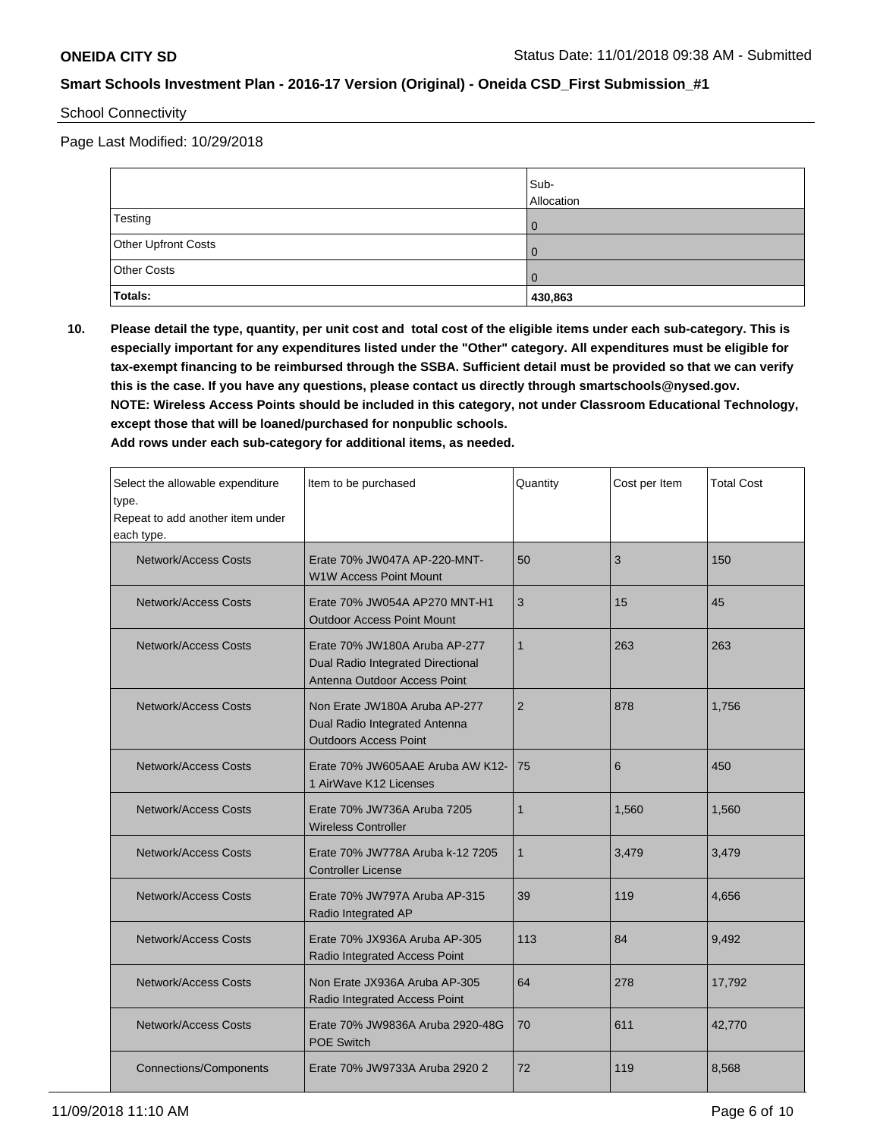School Connectivity

Page Last Modified: 10/29/2018

|                     | Sub-<br>Allocation |
|---------------------|--------------------|
| Testing             |                    |
| Other Upfront Costs |                    |
| <b>Other Costs</b>  |                    |
| <b>Totals:</b>      | 430,863            |

**10. Please detail the type, quantity, per unit cost and total cost of the eligible items under each sub-category. This is especially important for any expenditures listed under the "Other" category. All expenditures must be eligible for tax-exempt financing to be reimbursed through the SSBA. Sufficient detail must be provided so that we can verify this is the case. If you have any questions, please contact us directly through smartschools@nysed.gov. NOTE: Wireless Access Points should be included in this category, not under Classroom Educational Technology, except those that will be loaned/purchased for nonpublic schools.**

**Add rows under each sub-category for additional items, as needed.**

| Select the allowable expenditure<br>type.<br>Repeat to add another item under<br>each type. | Item to be purchased                                                                               | Quantity       | Cost per Item | <b>Total Cost</b> |
|---------------------------------------------------------------------------------------------|----------------------------------------------------------------------------------------------------|----------------|---------------|-------------------|
| Network/Access Costs                                                                        | Erate 70% JW047A AP-220-MNT-<br><b>W1W Access Point Mount</b>                                      | 50             | 3             | 150               |
| Network/Access Costs                                                                        | Erate 70% JW054A AP270 MNT-H1<br><b>Outdoor Access Point Mount</b>                                 | 3              | 15            | 45                |
| Network/Access Costs                                                                        | Erate 70% JW180A Aruba AP-277<br>Dual Radio Integrated Directional<br>Antenna Outdoor Access Point | $\mathbf{1}$   | 263           | 263               |
| <b>Network/Access Costs</b>                                                                 | Non Erate JW180A Aruba AP-277<br>Dual Radio Integrated Antenna<br><b>Outdoors Access Point</b>     | $\overline{2}$ | 878           | 1,756             |
| <b>Network/Access Costs</b>                                                                 | Erate 70% JW605AAE Aruba AW K12-<br>1 AirWave K12 Licenses                                         | 75             | 6             | 450               |
| Network/Access Costs                                                                        | Erate 70% JW736A Aruba 7205<br><b>Wireless Controller</b>                                          | $\mathbf{1}$   | 1.560         | 1,560             |
| <b>Network/Access Costs</b>                                                                 | Erate 70% JW778A Aruba k-12 7205<br><b>Controller License</b>                                      | 1              | 3,479         | 3,479             |
| <b>Network/Access Costs</b>                                                                 | Erate 70% JW797A Aruba AP-315<br>Radio Integrated AP                                               | 39             | 119           | 4,656             |
| <b>Network/Access Costs</b>                                                                 | Erate 70% JX936A Aruba AP-305<br>Radio Integrated Access Point                                     | 113            | 84            | 9,492             |
| <b>Network/Access Costs</b>                                                                 | Non Erate JX936A Aruba AP-305<br>Radio Integrated Access Point                                     | 64             | 278           | 17,792            |
| <b>Network/Access Costs</b>                                                                 | Erate 70% JW9836A Aruba 2920-48G<br><b>POE Switch</b>                                              | 70             | 611           | 42,770            |
| <b>Connections/Components</b>                                                               | Erate 70% JW9733A Aruba 2920 2                                                                     | 72             | 119           | 8,568             |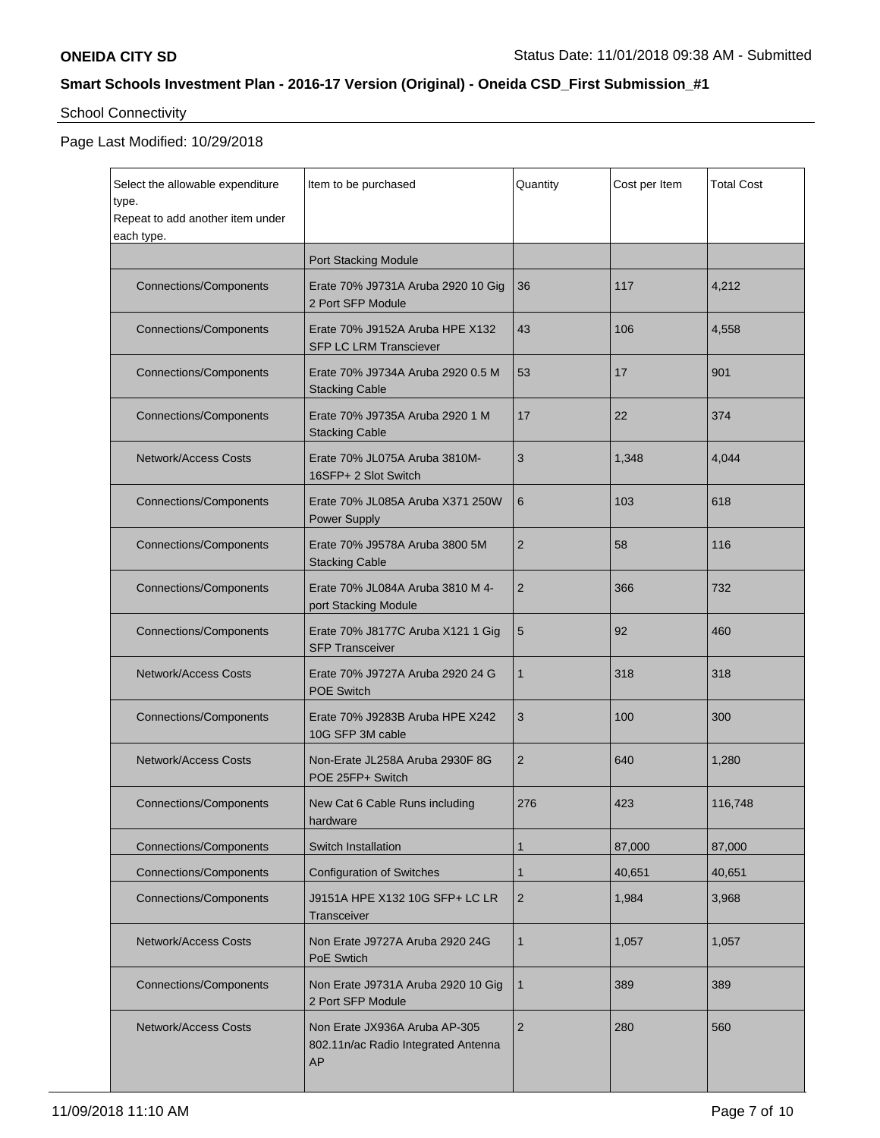# School Connectivity

## Page Last Modified: 10/29/2018

| Select the allowable expenditure<br>type.<br>Repeat to add another item under<br>each type. | Item to be purchased                                                       | Quantity       | Cost per Item | <b>Total Cost</b> |
|---------------------------------------------------------------------------------------------|----------------------------------------------------------------------------|----------------|---------------|-------------------|
|                                                                                             | Port Stacking Module                                                       |                |               |                   |
| <b>Connections/Components</b>                                                               | Erate 70% J9731A Aruba 2920 10 Gig<br>2 Port SFP Module                    | 36             | 117           | 4,212             |
| <b>Connections/Components</b>                                                               | Erate 70% J9152A Aruba HPE X132<br><b>SFP LC LRM Transciever</b>           | 43             | 106           | 4,558             |
| <b>Connections/Components</b>                                                               | Erate 70% J9734A Aruba 2920 0.5 M<br><b>Stacking Cable</b>                 | 53             | 17            | 901               |
| <b>Connections/Components</b>                                                               | Erate 70% J9735A Aruba 2920 1 M<br><b>Stacking Cable</b>                   | 17             | 22            | 374               |
| <b>Network/Access Costs</b>                                                                 | Erate 70% JL075A Aruba 3810M-<br>16SFP+ 2 Slot Switch                      | 3              | 1,348         | 4,044             |
| <b>Connections/Components</b>                                                               | Erate 70% JL085A Aruba X371 250W<br><b>Power Supply</b>                    | 6              | 103           | 618               |
| <b>Connections/Components</b>                                                               | Erate 70% J9578A Aruba 3800 5M<br><b>Stacking Cable</b>                    | $\overline{2}$ | 58            | 116               |
| <b>Connections/Components</b>                                                               | Erate 70% JL084A Aruba 3810 M 4-<br>port Stacking Module                   | $\overline{2}$ | 366           | 732               |
| <b>Connections/Components</b>                                                               | Erate 70% J8177C Aruba X121 1 Gig<br><b>SFP Transceiver</b>                | 5              | 92            | 460               |
| <b>Network/Access Costs</b>                                                                 | Erate 70% J9727A Aruba 2920 24 G<br><b>POE Switch</b>                      | 1              | 318           | 318               |
| <b>Connections/Components</b>                                                               | Erate 70% J9283B Aruba HPE X242<br>10G SFP 3M cable                        | 3              | 100           | 300               |
| <b>Network/Access Costs</b>                                                                 | Non-Erate JL258A Aruba 2930F 8G<br>POE 25FP+ Switch                        | $\overline{2}$ | 640           | 1,280             |
| <b>Connections/Components</b>                                                               | New Cat 6 Cable Runs including<br>hardware                                 | 276            | 423           | 116,748           |
| <b>Connections/Components</b>                                                               | Switch Installation                                                        | 1              | 87,000        | 87,000            |
| <b>Connections/Components</b>                                                               | <b>Configuration of Switches</b>                                           | 1              | 40,651        | 40,651            |
| <b>Connections/Components</b>                                                               | J9151A HPE X132 10G SFP+ LC LR<br>Transceiver                              | $\overline{c}$ | 1,984         | 3,968             |
| <b>Network/Access Costs</b>                                                                 | Non Erate J9727A Aruba 2920 24G<br>PoE Swtich                              | $\mathbf{1}$   | 1,057         | 1,057             |
| <b>Connections/Components</b>                                                               | Non Erate J9731A Aruba 2920 10 Gig<br>2 Port SFP Module                    | 1              | 389           | 389               |
| <b>Network/Access Costs</b>                                                                 | Non Erate JX936A Aruba AP-305<br>802.11n/ac Radio Integrated Antenna<br>AP | $\overline{2}$ | 280           | 560               |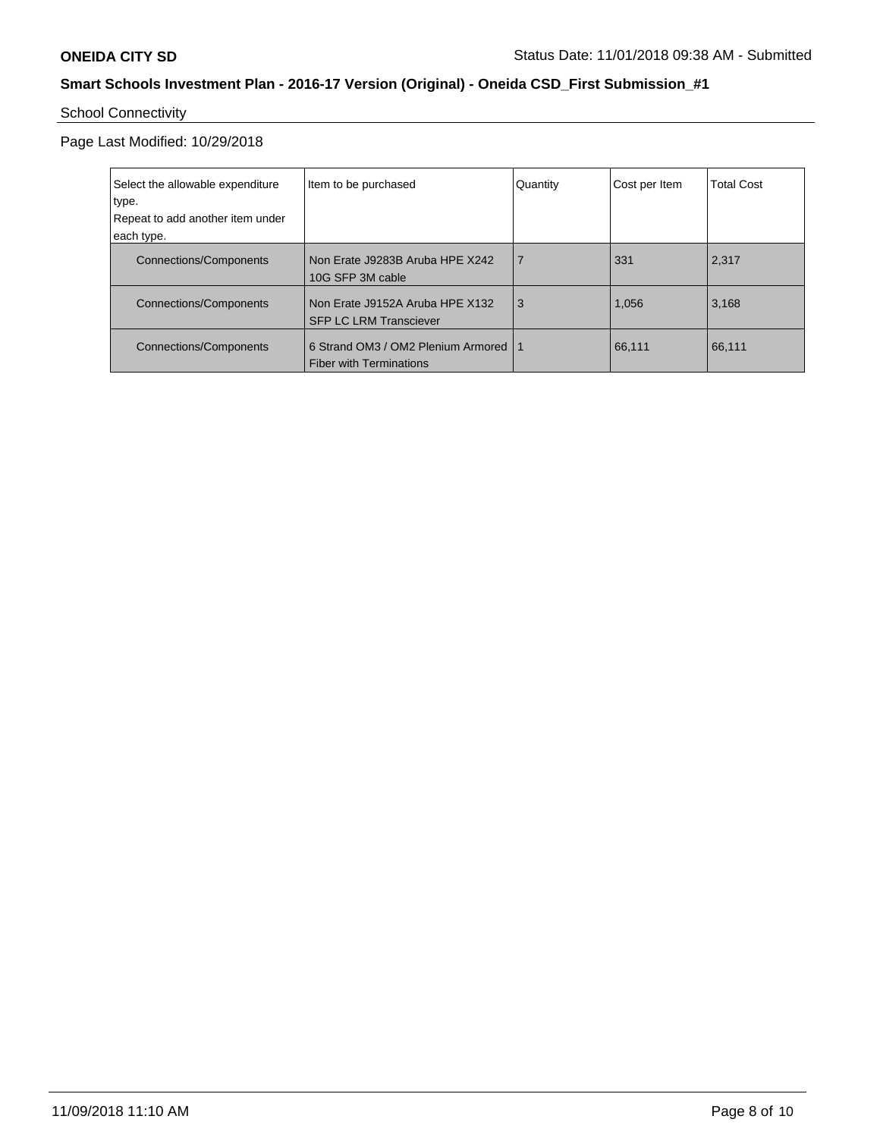# School Connectivity

Page Last Modified: 10/29/2018

| Select the allowable expenditure<br>type.<br>Repeat to add another item under<br>each type. | Item to be purchased                                                 | Quantity | Cost per Item | <b>Total Cost</b> |
|---------------------------------------------------------------------------------------------|----------------------------------------------------------------------|----------|---------------|-------------------|
| <b>Connections/Components</b>                                                               | Non Erate J9283B Aruba HPE X242<br>10G SFP 3M cable                  | 7        | 331           | 2,317             |
| Connections/Components                                                                      | Non Erate J9152A Aruba HPE X132<br><b>SFP LC LRM Transciever</b>     | 3        | 1,056         | 3,168             |
| <b>Connections/Components</b>                                                               | 6 Strand OM3 / OM2 Plenium Armored<br><b>Fiber with Terminations</b> | -1       | 66,111        | 66,111            |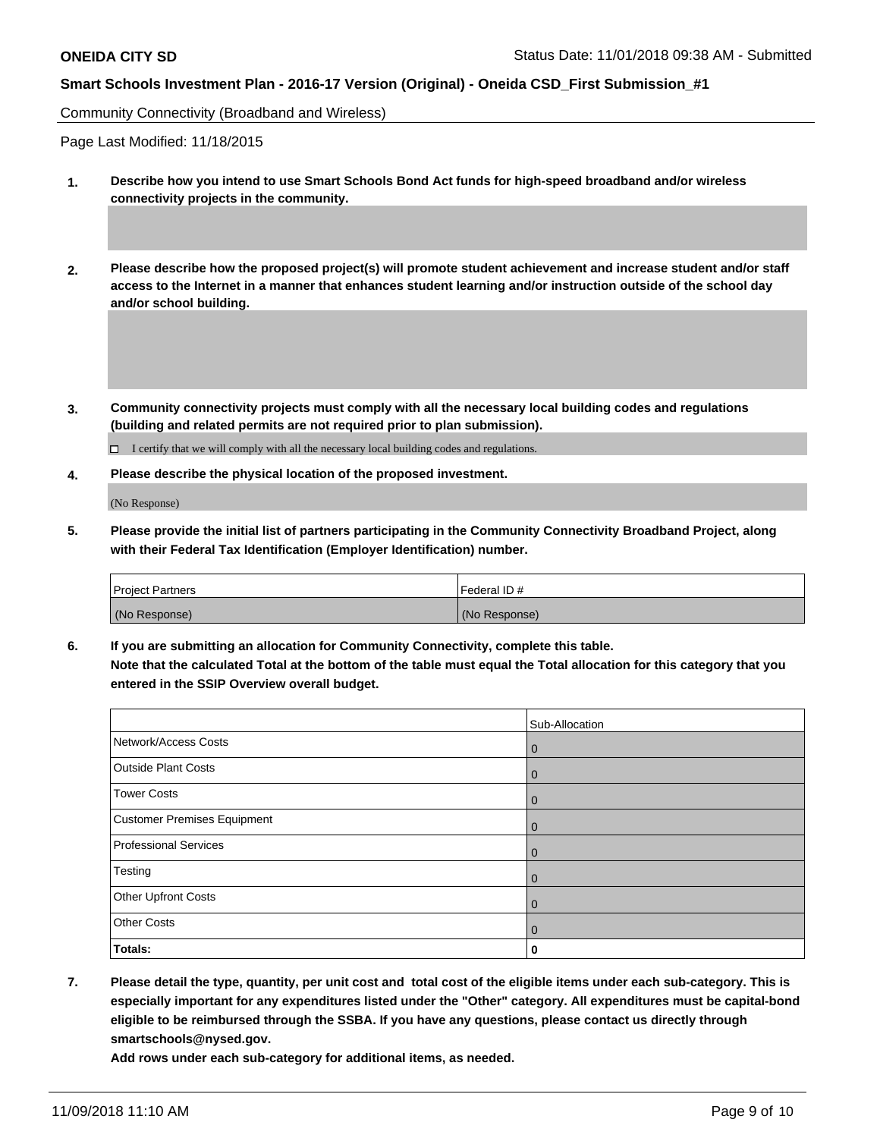Community Connectivity (Broadband and Wireless)

Page Last Modified: 11/18/2015

- **1. Describe how you intend to use Smart Schools Bond Act funds for high-speed broadband and/or wireless connectivity projects in the community.**
- **2. Please describe how the proposed project(s) will promote student achievement and increase student and/or staff access to the Internet in a manner that enhances student learning and/or instruction outside of the school day and/or school building.**
- **3. Community connectivity projects must comply with all the necessary local building codes and regulations (building and related permits are not required prior to plan submission).**

 $\Box$  I certify that we will comply with all the necessary local building codes and regulations.

**4. Please describe the physical location of the proposed investment.**

(No Response)

**5. Please provide the initial list of partners participating in the Community Connectivity Broadband Project, along with their Federal Tax Identification (Employer Identification) number.**

| <b>Project Partners</b> | Federal ID #  |
|-------------------------|---------------|
| (No Response)           | (No Response) |

**6. If you are submitting an allocation for Community Connectivity, complete this table. Note that the calculated Total at the bottom of the table must equal the Total allocation for this category that you entered in the SSIP Overview overall budget.**

|                              | Sub-Allocation |
|------------------------------|----------------|
| Network/Access Costs         | $\mathbf 0$    |
| <b>Outside Plant Costs</b>   | $\mathbf 0$    |
| Tower Costs                  | $\mathbf 0$    |
| Customer Premises Equipment  | 0              |
| <b>Professional Services</b> | $\mathbf 0$    |
| Testing                      | $\mathbf 0$    |
| <b>Other Upfront Costs</b>   | $\mathbf 0$    |
| <b>Other Costs</b>           | $\mathbf 0$    |
| <b>Totals:</b>               | 0              |

**7. Please detail the type, quantity, per unit cost and total cost of the eligible items under each sub-category. This is especially important for any expenditures listed under the "Other" category. All expenditures must be capital-bond eligible to be reimbursed through the SSBA. If you have any questions, please contact us directly through smartschools@nysed.gov.**

**Add rows under each sub-category for additional items, as needed.**